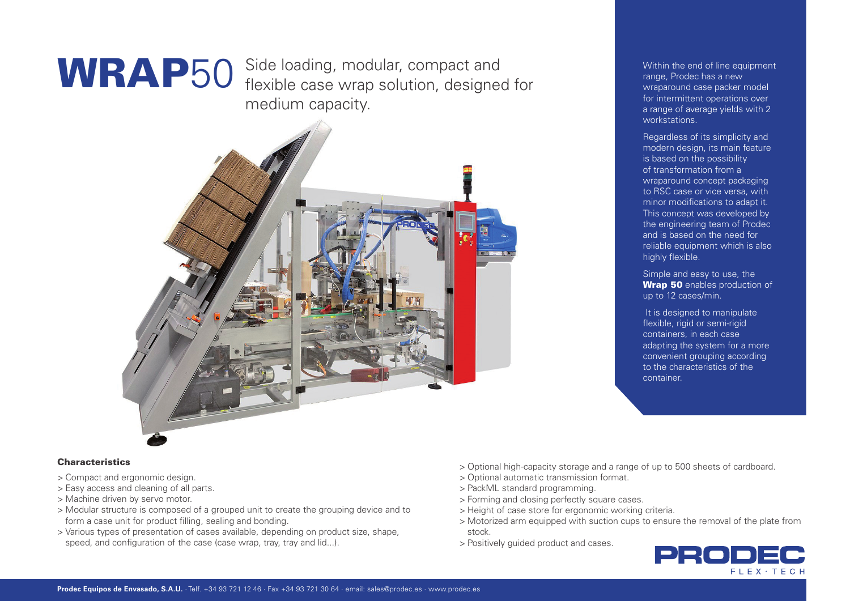WRAP50 Side loading, modular, compact and<br>
Flexible case wrap solution, designed for wraparound case packer model flexible case wrap solution, designed for medium capacity.



range, Prodec has a new wraparound case packer model for intermittent operations over a range of average yields with 2 workstations.

Regardless of its simplicity and modern design, its main feature is based on the possibility of transformation from a wraparound concept packaging to RSC case or vice versa, with minor modifications to adapt it. This concept was developed by the engineering team of Prodec and is based on the need for reliable equipment which is also highly flexible.

Simple and easy to use, the Wrap 50 enables production of up to 12 cases/min.

It is designed to manipulate flexible, rigid or semi-rigid containers, in each case adapting the system for a more convenient grouping according to the characteristics of the container.

# **Characteristics**

- > Compact and ergonomic design.
- > Easy access and cleaning of all parts.
- > Machine driven by servo motor.
- > Modular structure is composed of a grouped unit to create the grouping device and to form a case unit for product filling, sealing and bonding.
- > Various types of presentation of cases available, depending on product size, shape, speed, and configuration of the case (case wrap, tray, tray and lid...).
- > Optional high-capacity storage and a range of up to 500 sheets of cardboard.
- > Optional automatic transmission format.
- > PackML standard programming.
- > Forming and closing perfectly square cases.
- > Height of case store for ergonomic working criteria.
- > Motorized arm equipped with suction cups to ensure the removal of the plate from stock.
- > Positively guided product and cases.